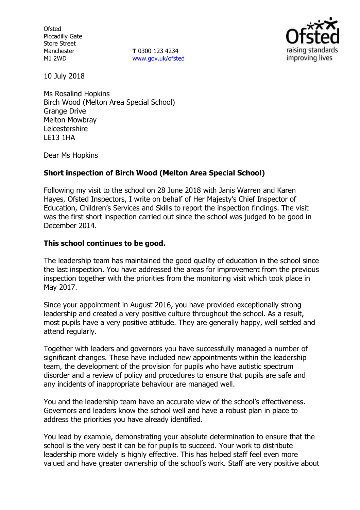**Ofsted** Piccadilly Gate Store Street Manchester M1 2WD

**T** 0300 123 4234 www.gov.uk/ofsted



10 July 2018

Ms Rosalind Hopkins Birch Wood (Melton Area Special School) Grange Drive Melton Mowbray Leicestershire LE13 1HA

Dear Ms Hopkins

# **Short inspection of Birch Wood (Melton Area Special School)**

Following my visit to the school on 28 June 2018 with Janis Warren and Karen Hayes, Ofsted Inspectors, I write on behalf of Her Majesty's Chief Inspector of Education, Children's Services and Skills to report the inspection findings. The visit was the first short inspection carried out since the school was judged to be good in December 2014.

### **This school continues to be good.**

The leadership team has maintained the good quality of education in the school since the last inspection. You have addressed the areas for improvement from the previous inspection together with the priorities from the monitoring visit which took place in May 2017.

Since your appointment in August 2016, you have provided exceptionally strong leadership and created a very positive culture throughout the school. As a result, most pupils have a very positive attitude. They are generally happy, well settled and attend regularly.

Together with leaders and governors you have successfully managed a number of significant changes. These have included new appointments within the leadership team, the development of the provision for pupils who have autistic spectrum disorder and a review of policy and procedures to ensure that pupils are safe and any incidents of inappropriate behaviour are managed well.

You and the leadership team have an accurate view of the school's effectiveness. Governors and leaders know the school well and have a robust plan in place to address the priorities you have already identified.

You lead by example, demonstrating your absolute determination to ensure that the school is the very best it can be for pupils to succeed. Your work to distribute leadership more widely is highly effective. This has helped staff feel even more valued and have greater ownership of the school's work. Staff are very positive about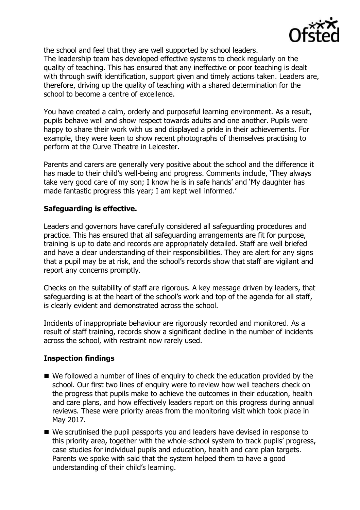

the school and feel that they are well supported by school leaders. The leadership team has developed effective systems to check regularly on the quality of teaching. This has ensured that any ineffective or poor teaching is dealt with through swift identification, support given and timely actions taken. Leaders are, therefore, driving up the quality of teaching with a shared determination for the school to become a centre of excellence.

You have created a calm, orderly and purposeful learning environment. As a result, pupils behave well and show respect towards adults and one another. Pupils were happy to share their work with us and displayed a pride in their achievements. For example, they were keen to show recent photographs of themselves practising to perform at the Curve Theatre in Leicester.

Parents and carers are generally very positive about the school and the difference it has made to their child's well-being and progress. Comments include, 'They always take very good care of my son; I know he is in safe hands' and 'My daughter has made fantastic progress this year; I am kept well informed.'

# **Safeguarding is effective.**

Leaders and governors have carefully considered all safeguarding procedures and practice. This has ensured that all safeguarding arrangements are fit for purpose, training is up to date and records are appropriately detailed. Staff are well briefed and have a clear understanding of their responsibilities. They are alert for any signs that a pupil may be at risk, and the school's records show that staff are vigilant and report any concerns promptly.

Checks on the suitability of staff are rigorous. A key message driven by leaders, that safeguarding is at the heart of the school's work and top of the agenda for all staff, is clearly evident and demonstrated across the school.

Incidents of inappropriate behaviour are rigorously recorded and monitored. As a result of staff training, records show a significant decline in the number of incidents across the school, with restraint now rarely used.

### **Inspection findings**

- We followed a number of lines of enquiry to check the education provided by the school. Our first two lines of enquiry were to review how well teachers check on the progress that pupils make to achieve the outcomes in their education, health and care plans, and how effectively leaders report on this progress during annual reviews. These were priority areas from the monitoring visit which took place in May 2017.
- We scrutinised the pupil passports you and leaders have devised in response to this priority area, together with the whole-school system to track pupils' progress, case studies for individual pupils and education, health and care plan targets. Parents we spoke with said that the system helped them to have a good understanding of their child's learning.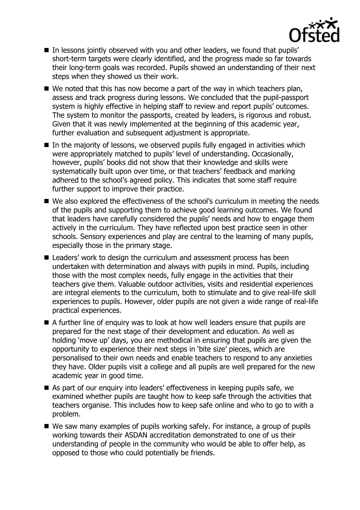

- In lessons jointly observed with you and other leaders, we found that pupils' short-term targets were clearly identified, and the progress made so far towards their long-term goals was recorded. Pupils showed an understanding of their next steps when they showed us their work.
- $\blacksquare$  We noted that this has now become a part of the way in which teachers plan, assess and track progress during lessons. We concluded that the pupil-passport system is highly effective in helping staff to review and report pupils' outcomes. The system to monitor the passports, created by leaders, is rigorous and robust. Given that it was newly implemented at the beginning of this academic year, further evaluation and subsequent adjustment is appropriate.
- $\blacksquare$  In the majority of lessons, we observed pupils fully engaged in activities which were appropriately matched to pupils' level of understanding. Occasionally, however, pupils' books did not show that their knowledge and skills were systematically built upon over time, or that teachers' feedback and marking adhered to the school's agreed policy. This indicates that some staff require further support to improve their practice.
- We also explored the effectiveness of the school's curriculum in meeting the needs of the pupils and supporting them to achieve good learning outcomes. We found that leaders have carefully considered the pupils' needs and how to engage them actively in the curriculum. They have reflected upon best practice seen in other schools. Sensory experiences and play are central to the learning of many pupils, especially those in the primary stage.
- Leaders' work to design the curriculum and assessment process has been undertaken with determination and always with pupils in mind. Pupils, including those with the most complex needs, fully engage in the activities that their teachers give them. Valuable outdoor activities, visits and residential experiences are integral elements to the curriculum, both to stimulate and to give real-life skill experiences to pupils. However, older pupils are not given a wide range of real-life practical experiences.
- A further line of enquiry was to look at how well leaders ensure that pupils are prepared for the next stage of their development and education. As well as holding 'move up' days, you are methodical in ensuring that pupils are given the opportunity to experience their next steps in 'bite size' pieces, which are personalised to their own needs and enable teachers to respond to any anxieties they have. Older pupils visit a college and all pupils are well prepared for the new academic year in good time.
- As part of our enquiry into leaders' effectiveness in keeping pupils safe, we examined whether pupils are taught how to keep safe through the activities that teachers organise. This includes how to keep safe online and who to go to with a problem.
- We saw many examples of pupils working safely. For instance, a group of pupils working towards their ASDAN accreditation demonstrated to one of us their understanding of people in the community who would be able to offer help, as opposed to those who could potentially be friends.